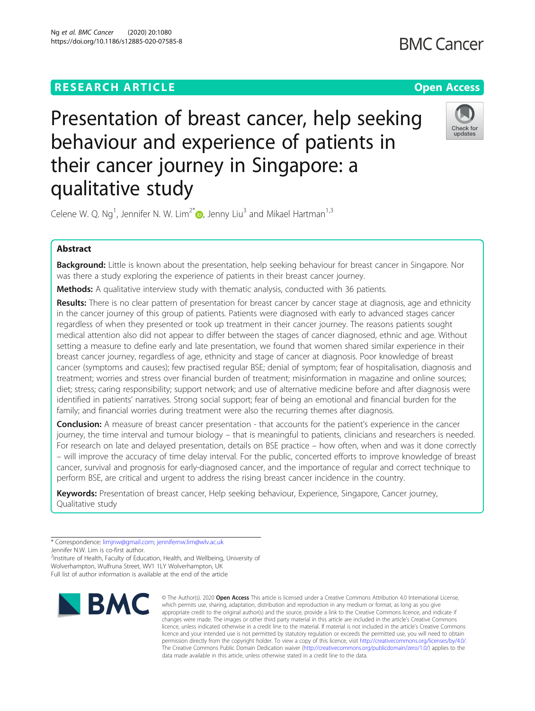## **RESEARCH ARTICLE Example 2014 12:30 The Open Access**

# Presentation of breast cancer, help seeking behaviour and experience of patients in their cancer journey in Singapore: a qualitative study



Celene W. Q. Ng<sup>1</sup>, Jennifer N. W. Lim<sup>2[\\*](http://orcid.org/0000-0001-7696-949X)</sup> $\bm{\circ}$ , Jenny Liu<sup>3</sup> and Mikael Hartman<sup>1,3</sup>

### Abstract

Background: Little is known about the presentation, help seeking behaviour for breast cancer in Singapore. Nor was there a study exploring the experience of patients in their breast cancer journey.

Methods: A qualitative interview study with thematic analysis, conducted with 36 patients.

Results: There is no clear pattern of presentation for breast cancer by cancer stage at diagnosis, age and ethnicity in the cancer journey of this group of patients. Patients were diagnosed with early to advanced stages cancer regardless of when they presented or took up treatment in their cancer journey. The reasons patients sought medical attention also did not appear to differ between the stages of cancer diagnosed, ethnic and age. Without setting a measure to define early and late presentation, we found that women shared similar experience in their breast cancer journey, regardless of age, ethnicity and stage of cancer at diagnosis. Poor knowledge of breast cancer (symptoms and causes); few practised regular BSE; denial of symptom; fear of hospitalisation, diagnosis and treatment; worries and stress over financial burden of treatment; misinformation in magazine and online sources; diet; stress; caring responsibility; support network; and use of alternative medicine before and after diagnosis were identified in patients' narratives. Strong social support; fear of being an emotional and financial burden for the family; and financial worries during treatment were also the recurring themes after diagnosis.

**Conclusion:** A measure of breast cancer presentation - that accounts for the patient's experience in the cancer journey, the time interval and tumour biology – that is meaningful to patients, clinicians and researchers is needed. For research on late and delayed presentation, details on BSE practice – how often, when and was it done correctly – will improve the accuracy of time delay interval. For the public, concerted efforts to improve knowledge of breast cancer, survival and prognosis for early-diagnosed cancer, and the importance of regular and correct technique to perform BSE, are critical and urgent to address the rising breast cancer incidence in the country.

Keywords: Presentation of breast cancer, Help seeking behaviour, Experience, Singapore, Cancer journey, Qualitative study

\* Correspondence: [limjnw@gmail.com](mailto:limjnw@gmail.com); [jennifernw.lim@wlv.ac.uk](mailto:jennifernw.lim@wlv.ac.uk)

Jennifer N.W. Lim is co-first author.

<sup>2</sup>Institure of Health, Faculty of Education, Health, and Wellbeing, University of Wolverhampton, Wulfruna Street, WV1 1LY Wolverhampton, UK Full list of author information is available at the end of the article



© The Author(s), 2020 **Open Access** This article is licensed under a Creative Commons Attribution 4.0 International License, which permits use, sharing, adaptation, distribution and reproduction in any medium or format, as long as you give appropriate credit to the original author(s) and the source, provide a link to the Creative Commons licence, and indicate if changes were made. The images or other third party material in this article are included in the article's Creative Commons licence, unless indicated otherwise in a credit line to the material. If material is not included in the article's Creative Commons licence and your intended use is not permitted by statutory regulation or exceeds the permitted use, you will need to obtain permission directly from the copyright holder. To view a copy of this licence, visit [http://creativecommons.org/licenses/by/4.0/.](http://creativecommons.org/licenses/by/4.0/) The Creative Commons Public Domain Dedication waiver [\(http://creativecommons.org/publicdomain/zero/1.0/](http://creativecommons.org/publicdomain/zero/1.0/)) applies to the data made available in this article, unless otherwise stated in a credit line to the data.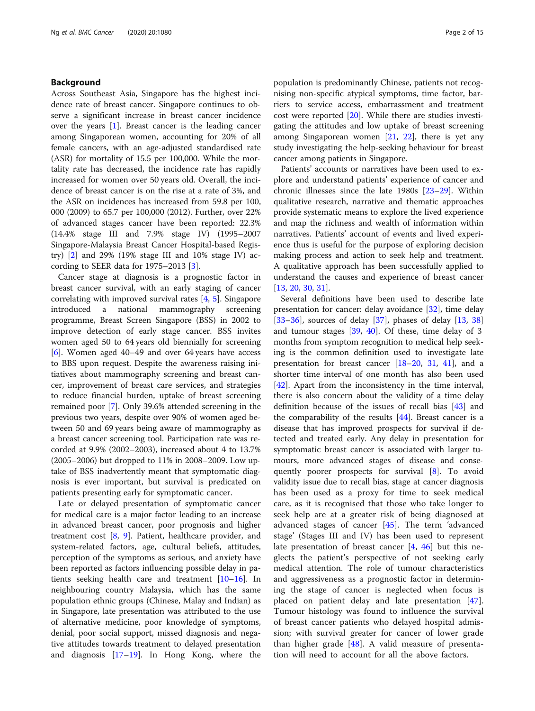#### Background

Across Southeast Asia, Singapore has the highest incidence rate of breast cancer. Singapore continues to observe a significant increase in breast cancer incidence over the years [\[1](#page-13-0)]. Breast cancer is the leading cancer among Singaporean women, accounting for 20% of all female cancers, with an age-adjusted standardised rate (ASR) for mortality of 15.5 per 100,000. While the mortality rate has decreased, the incidence rate has rapidly increased for women over 50 years old. Overall, the incidence of breast cancer is on the rise at a rate of 3%, and the ASR on incidences has increased from 59.8 per 100, 000 (2009) to 65.7 per 100,000 (2012). Further, over 22% of advanced stages cancer have been reported: 22.3% (14.4% stage III and 7.9% stage IV) (1995–2007 Singapore-Malaysia Breast Cancer Hospital-based Registry) [[2\]](#page-13-0) and 29% (19% stage III and 10% stage IV) according to SEER data for 1975–2013 [[3\]](#page-13-0).

Cancer stage at diagnosis is a prognostic factor in breast cancer survival, with an early staging of cancer correlating with improved survival rates [[4,](#page-13-0) [5\]](#page-13-0). Singapore introduced a national mammography screening programme, Breast Screen Singapore (BSS) in 2002 to improve detection of early stage cancer. BSS invites women aged 50 to 64 years old biennially for screening [[6\]](#page-13-0). Women aged 40–49 and over 64 years have access to BBS upon request. Despite the awareness raising initiatives about mammography screening and breast cancer, improvement of breast care services, and strategies to reduce financial burden, uptake of breast screening remained poor [\[7](#page-13-0)]. Only 39.6% attended screening in the previous two years, despite over 90% of women aged between 50 and 69 years being aware of mammography as a breast cancer screening tool. Participation rate was recorded at 9.9% (2002–2003), increased about 4 to 13.7% (2005–2006) but dropped to 11% in 2008–2009. Low uptake of BSS inadvertently meant that symptomatic diagnosis is ever important, but survival is predicated on patients presenting early for symptomatic cancer.

Late or delayed presentation of symptomatic cancer for medical care is a major factor leading to an increase in advanced breast cancer, poor prognosis and higher treatment cost [[8,](#page-13-0) [9](#page-13-0)]. Patient, healthcare provider, and system-related factors, age, cultural beliefs, attitudes, perception of the symptoms as serious, and anxiety have been reported as factors influencing possible delay in patients seeking health care and treatment [\[10](#page-13-0)–[16\]](#page-13-0). In neighbouring country Malaysia, which has the same population ethnic groups (Chinese, Malay and Indian) as in Singapore, late presentation was attributed to the use of alternative medicine, poor knowledge of symptoms, denial, poor social support, missed diagnosis and negative attitudes towards treatment to delayed presentation and diagnosis [[17](#page-13-0)–[19\]](#page-14-0). In Hong Kong, where the population is predominantly Chinese, patients not recognising non-specific atypical symptoms, time factor, barriers to service access, embarrassment and treatment cost were reported [\[20](#page-14-0)]. While there are studies investigating the attitudes and low uptake of breast screening among Singaporean women [[21,](#page-14-0) [22\]](#page-14-0), there is yet any study investigating the help-seeking behaviour for breast cancer among patients in Singapore.

Patients' accounts or narratives have been used to explore and understand patients' experience of cancer and chronic illnesses since the late 1980s [[23](#page-14-0)–[29](#page-14-0)]. Within qualitative research, narrative and thematic approaches provide systematic means to explore the lived experience and map the richness and wealth of information within narratives. Patients' account of events and lived experience thus is useful for the purpose of exploring decision making process and action to seek help and treatment. A qualitative approach has been successfully applied to understand the causes and experience of breast cancer [[13,](#page-13-0) [20,](#page-14-0) [30,](#page-14-0) [31](#page-14-0)].

Several definitions have been used to describe late presentation for cancer: delay avoidance [\[32](#page-14-0)], time delay [[33](#page-14-0)–[36](#page-14-0)], sources of delay  $[37]$  $[37]$ , phases of delay  $[13, 38]$  $[13, 38]$  $[13, 38]$  $[13, 38]$ ] and tumour stages [[39](#page-14-0), [40\]](#page-14-0). Of these, time delay of 3 months from symptom recognition to medical help seeking is the common definition used to investigate late presentation for breast cancer [[18](#page-14-0)–[20,](#page-14-0) [31,](#page-14-0) [41](#page-14-0)], and a shorter time interval of one month has also been used [[42\]](#page-14-0). Apart from the inconsistency in the time interval, there is also concern about the validity of a time delay definition because of the issues of recall bias [[43\]](#page-14-0) and the comparability of the results [\[44](#page-14-0)]. Breast cancer is a disease that has improved prospects for survival if detected and treated early. Any delay in presentation for symptomatic breast cancer is associated with larger tumours, more advanced stages of disease and conse-quently poorer prospects for survival [\[8](#page-13-0)]. To avoid validity issue due to recall bias, stage at cancer diagnosis has been used as a proxy for time to seek medical care, as it is recognised that those who take longer to seek help are at a greater risk of being diagnosed at advanced stages of cancer [\[45](#page-14-0)]. The term 'advanced stage' (Stages III and IV) has been used to represent late presentation of breast cancer [[4,](#page-13-0) [46](#page-14-0)] but this neglects the patient's perspective of not seeking early medical attention. The role of tumour characteristics and aggressiveness as a prognostic factor in determining the stage of cancer is neglected when focus is placed on patient delay and late presentation [\[47](#page-14-0)]. Tumour histology was found to influence the survival of breast cancer patients who delayed hospital admission; with survival greater for cancer of lower grade than higher grade  $[48]$  $[48]$  $[48]$ . A valid measure of presentation will need to account for all the above factors.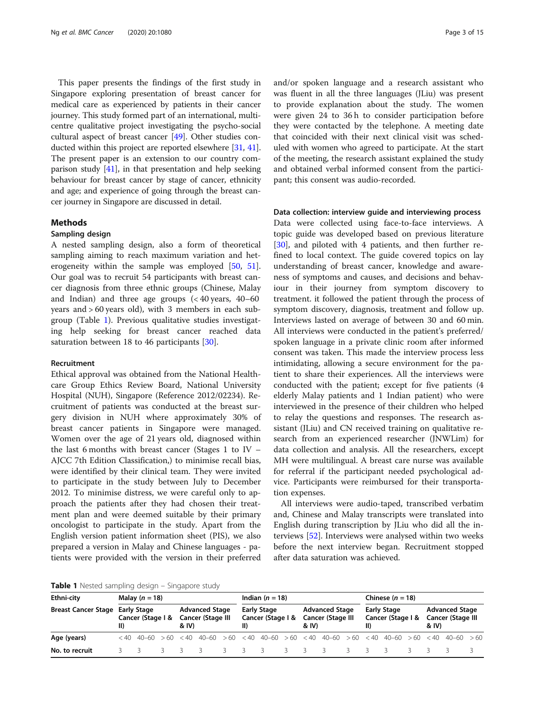This paper presents the findings of the first study in Singapore exploring presentation of breast cancer for medical care as experienced by patients in their cancer journey. This study formed part of an international, multicentre qualitative project investigating the psycho-social cultural aspect of breast cancer [[49](#page-14-0)]. Other studies conducted within this project are reported elsewhere [\[31,](#page-14-0) [41](#page-14-0)]. The present paper is an extension to our country comparison study [\[41\]](#page-14-0), in that presentation and help seeking behaviour for breast cancer by stage of cancer, ethnicity and age; and experience of going through the breast cancer journey in Singapore are discussed in detail.

#### Methods

#### Sampling design

A nested sampling design, also a form of theoretical sampling aiming to reach maximum variation and het-erogeneity within the sample was employed [[50,](#page-14-0) [51](#page-14-0)]. Our goal was to recruit 54 participants with breast cancer diagnosis from three ethnic groups (Chinese, Malay and Indian) and three age groups (< 40 years, 40–60 years and > 60 years old), with 3 members in each subgroup (Table 1). Previous qualitative studies investigating help seeking for breast cancer reached data saturation between 18 to 46 participants [\[30\]](#page-14-0).

#### Recruitment

Ethical approval was obtained from the National Healthcare Group Ethics Review Board, National University Hospital (NUH), Singapore (Reference 2012/02234). Recruitment of patients was conducted at the breast surgery division in NUH where approximately 30% of breast cancer patients in Singapore were managed. Women over the age of 21 years old, diagnosed within the last 6 months with breast cancer (Stages 1 to IV – AJCC 7th Edition Classification,) to minimise recall bias, were identified by their clinical team. They were invited to participate in the study between July to December 2012. To minimise distress, we were careful only to approach the patients after they had chosen their treatment plan and were deemed suitable by their primary oncologist to participate in the study. Apart from the English version patient information sheet (PIS), we also prepared a version in Malay and Chinese languages - patients were provided with the version in their preferred

and/or spoken language and a research assistant who was fluent in all the three languages (JLiu) was present to provide explanation about the study. The women were given 24 to 36 h to consider participation before they were contacted by the telephone. A meeting date that coincided with their next clinical visit was scheduled with women who agreed to participate. At the start of the meeting, the research assistant explained the study and obtained verbal informed consent from the participant; this consent was audio-recorded.

#### Data collection: interview guide and interviewing process

Data were collected using face-to-face interviews. A topic guide was developed based on previous literature [[30\]](#page-14-0), and piloted with 4 patients, and then further refined to local context. The guide covered topics on lay understanding of breast cancer, knowledge and awareness of symptoms and causes, and decisions and behaviour in their journey from symptom discovery to treatment. it followed the patient through the process of symptom discovery, diagnosis, treatment and follow up. Interviews lasted on average of between 30 and 60 min. All interviews were conducted in the patient's preferred/ spoken language in a private clinic room after informed consent was taken. This made the interview process less intimidating, allowing a secure environment for the patient to share their experiences. All the interviews were conducted with the patient; except for five patients (4 elderly Malay patients and 1 Indian patient) who were interviewed in the presence of their children who helped to relay the questions and responses. The research assistant (JLiu) and CN received training on qualitative research from an experienced researcher (JNWLim) for data collection and analysis. All the researchers, except MH were multilingual. A breast care nurse was available for referral if the participant needed psychological advice. Participants were reimbursed for their transportation expenses.

All interviews were audio-taped, transcribed verbatim and, Chinese and Malay transcripts were translated into English during transcription by JLiu who did all the interviews [\[52](#page-14-0)]. Interviews were analysed within two weeks before the next interview began. Recruitment stopped after data saturation was achieved.

**Table 1** Nested sampling design – Singapore study

| Ethni-city                 | Malay $(n = 18)$ |                                  |  |       |                                                                                                                                                                                                                                                                            |    | Indian $(n = 18)$ |                                         |   |                             |                                            | Chinese $(n = 18)$ |     |                                         |  |       |                                                   |  |
|----------------------------|------------------|----------------------------------|--|-------|----------------------------------------------------------------------------------------------------------------------------------------------------------------------------------------------------------------------------------------------------------------------------|----|-------------------|-----------------------------------------|---|-----------------------------|--------------------------------------------|--------------------|-----|-----------------------------------------|--|-------|---------------------------------------------------|--|
| <b>Breast Cancer Stage</b> | $\parallel$      | Early Stage<br>Cancer (Stage I & |  | & IV) | <b>Advanced Stage</b><br><b>Cancer (Stage III</b>                                                                                                                                                                                                                          |    | ID.               | <b>Early Stage</b><br>Cancer (Stage I & |   | & IV)                       | <b>Advanced Stage</b><br>Cancer (Stage III |                    | II) | <b>Early Stage</b><br>Cancer (Stage I & |  | & IV) | <b>Advanced Stage</b><br><b>Cancer (Stage III</b> |  |
| Age (years)                |                  |                                  |  |       | $\langle 40 \rangle$ 40-60 $\langle 60 \rangle$ $\langle 40 \rangle$ 40-60 $\langle 60 \rangle$ $\langle 40 \rangle$ 40-60 $\langle 60 \rangle$ $\langle 40 \rangle$ 40-60 $\langle 60 \rangle$ $\langle 40 \rangle$ 40-60 $\langle 40 \rangle$ 40-60 $\langle 60 \rangle$ |    |                   |                                         |   |                             |                                            |                    |     |                                         |  |       |                                                   |  |
| No. to recruit             |                  |                                  |  |       | 3                                                                                                                                                                                                                                                                          | 3. | $\mathcal{R}$     | $\overline{\mathbf{3}}$                 | 3 | $\mathcal{R}$ $\mathcal{R}$ |                                            |                    |     | $\mathcal{R}$                           |  |       |                                                   |  |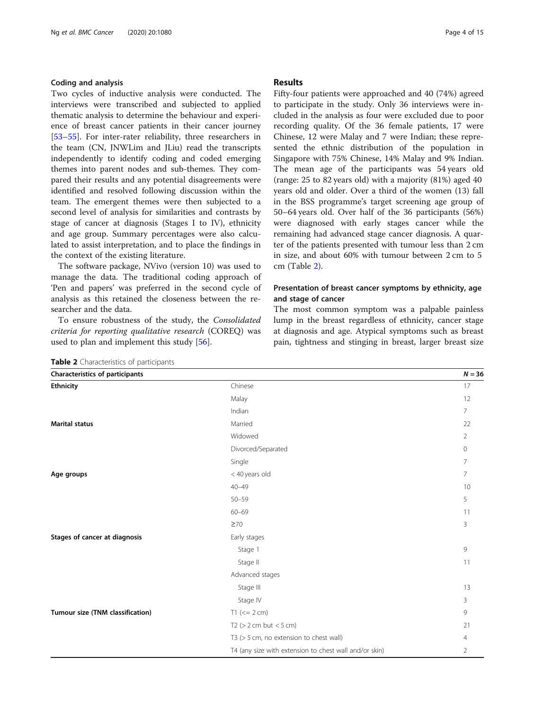#### Coding and analysis

Two cycles of inductive analysis were conducted. The interviews were transcribed and subjected to applied thematic analysis to determine the behaviour and experience of breast cancer patients in their cancer journey [[53](#page-14-0)–[55](#page-14-0)]. For inter-rater reliability, three researchers in the team (CN, JNWLim and JLiu) read the transcripts independently to identify coding and coded emerging themes into parent nodes and sub-themes. They compared their results and any potential disagreements were identified and resolved following discussion within the team. The emergent themes were then subjected to a second level of analysis for similarities and contrasts by stage of cancer at diagnosis (Stages I to IV), ethnicity and age group. Summary percentages were also calculated to assist interpretation, and to place the findings in the context of the existing literature.

The software package, NVivo (version 10) was used to manage the data. The traditional coding approach of 'Pen and papers' was preferred in the second cycle of analysis as this retained the closeness between the researcher and the data.

To ensure robustness of the study, the Consolidated criteria for reporting qualitative research (COREQ) was used to plan and implement this study [[56\]](#page-14-0).

#### Results

Fifty-four patients were approached and 40 (74%) agreed to participate in the study. Only 36 interviews were included in the analysis as four were excluded due to poor recording quality. Of the 36 female patients, 17 were Chinese, 12 were Malay and 7 were Indian; these represented the ethnic distribution of the population in Singapore with 75% Chinese, 14% Malay and 9% Indian. The mean age of the participants was 54 years old (range: 25 to 82 years old) with a majority (81%) aged 40 years old and older. Over a third of the women (13) fall in the BSS programme's target screening age group of 50–64 years old. Over half of the 36 participants (56%) were diagnosed with early stages cancer while the remaining had advanced stage cancer diagnosis. A quarter of the patients presented with tumour less than 2 cm in size, and about 60% with tumour between 2 cm to 5 cm (Table 2).

#### Presentation of breast cancer symptoms by ethnicity, age and stage of cancer

The most common symptom was a palpable painless lump in the breast regardless of ethnicity, cancer stage at diagnosis and age. Atypical symptoms such as breast pain, tightness and stinging in breast, larger breast size

| <b>Characteristics of participants</b> |                                                        | $N = 36$        |
|----------------------------------------|--------------------------------------------------------|-----------------|
| <b>Ethnicity</b>                       | Chinese                                                | 17              |
|                                        | Malay                                                  | 12              |
|                                        | Indian                                                 | $7^{\circ}$     |
| <b>Marital status</b>                  | Married                                                | 22              |
|                                        | Widowed                                                | $\overline{2}$  |
|                                        | Divorced/Separated                                     | $\mathbf{0}$    |
|                                        | Single                                                 | $7\overline{ }$ |
| Age groups                             | <40 years old                                          | $7\overline{ }$ |
|                                        | $40 - 49$                                              | 10              |
|                                        | $50 - 59$                                              | 5               |
|                                        | $60 - 69$                                              | 11              |
|                                        | $\geq 70$                                              | 3               |
| Stages of cancer at diagnosis          | Early stages                                           |                 |
|                                        | Stage 1                                                | 9               |
|                                        | Stage II                                               | 11              |
|                                        | Advanced stages                                        |                 |
|                                        | Stage III                                              | 13              |
|                                        | Stage IV                                               | 3               |
| Tumour size (TNM classification)       | $T1 (= 2 cm)$                                          | 9               |
|                                        | T2 ( $>$ 2 cm but $<$ 5 cm)                            | 21              |
|                                        | T3 (> 5 cm, no extension to chest wall)                | $\overline{4}$  |
|                                        | T4 (any size with extension to chest wall and/or skin) | $\overline{2}$  |

Table 2 Characteristics of participants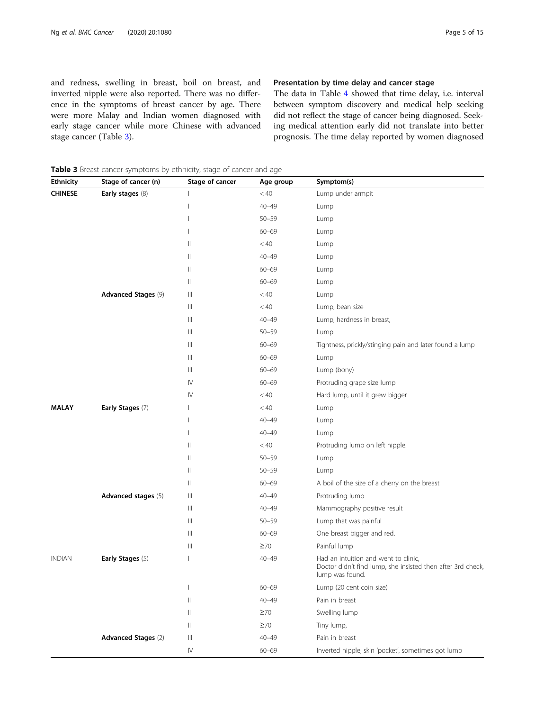and redness, swelling in breast, boil on breast, and inverted nipple were also reported. There was no difference in the symptoms of breast cancer by age. There were more Malay and Indian women diagnosed with early stage cancer while more Chinese with advanced stage cancer (Table 3).

#### Presentation by time delay and cancer stage

The data in Table [4](#page-5-0) showed that time delay, i.e. interval between symptom discovery and medical help seeking did not reflect the stage of cancer being diagnosed. Seeking medical attention early did not translate into better prognosis. The time delay reported by women diagnosed

Table 3 Breast cancer symptoms by ethnicity, stage of cancer and age

| Ethnicity      | Stage of cancer (n)        | Stage of cancer                                                | Age group | Symptom(s)                                                                                                             |
|----------------|----------------------------|----------------------------------------------------------------|-----------|------------------------------------------------------------------------------------------------------------------------|
| <b>CHINESE</b> | Early stages (8)           |                                                                | < 40      | Lump under armpit                                                                                                      |
|                |                            |                                                                | $40 - 49$ | Lump                                                                                                                   |
|                |                            |                                                                | $50 - 59$ | Lump                                                                                                                   |
|                |                            | $\mathbf{I}$                                                   | $60 - 69$ | Lump                                                                                                                   |
|                |                            | $\parallel$                                                    | < 40      | Lump                                                                                                                   |
|                |                            | $\label{eq:1} \prod_{i=1}^n \alpha_i = \prod_{i=1}^n \alpha_i$ | $40 - 49$ | Lump                                                                                                                   |
|                |                            | Ш                                                              | $60 - 69$ | Lump                                                                                                                   |
|                |                            | $\parallel$                                                    | $60 - 69$ | Lump                                                                                                                   |
|                | Advanced Stages (9)        | Ш                                                              | < 40      | Lump                                                                                                                   |
|                |                            | $\vert\vert\vert$                                              | < 40      | Lump, bean size                                                                                                        |
|                |                            | Ш                                                              | $40 - 49$ | Lump, hardness in breast,                                                                                              |
|                |                            | $\vert\vert\vert$                                              | $50 - 59$ | Lump                                                                                                                   |
|                |                            | $\vert\vert\vert$                                              | $60 - 69$ | Tightness, prickly/stinging pain and later found a lump                                                                |
|                |                            | Ш                                                              | $60 - 69$ | Lump                                                                                                                   |
|                |                            | $\vert\vert\vert$                                              | $60 - 69$ | Lump (bony)                                                                                                            |
|                |                            | IV                                                             | $60 - 69$ | Protruding grape size lump                                                                                             |
|                |                            | IV                                                             | < 40      | Hard lump, until it grew bigger                                                                                        |
| <b>MALAY</b>   | Early Stages (7)           |                                                                | < 40      | Lump                                                                                                                   |
|                |                            |                                                                | $40 - 49$ | Lump                                                                                                                   |
|                |                            |                                                                | $40 - 49$ | Lump                                                                                                                   |
|                |                            | $\mathsf{I}$                                                   | < 40      | Protruding lump on left nipple.                                                                                        |
|                |                            | Ш                                                              | $50 - 59$ | Lump                                                                                                                   |
|                |                            | $\parallel$                                                    | $50 - 59$ | Lump                                                                                                                   |
|                |                            | $\parallel$                                                    | $60 - 69$ | A boil of the size of a cherry on the breast                                                                           |
|                | Advanced stages (5)        | Ш                                                              | $40 - 49$ | Protruding lump                                                                                                        |
|                |                            | Ш                                                              | $40 - 49$ | Mammography positive result                                                                                            |
|                |                            | $\vert\vert\vert$                                              | $50 - 59$ | Lump that was painful                                                                                                  |
|                |                            | $\vert\vert\vert$                                              | $60 - 69$ | One breast bigger and red.                                                                                             |
|                |                            | Ш                                                              | $\geq 70$ | Painful lump                                                                                                           |
| <b>INDIAN</b>  | Early Stages (5)           | I                                                              | $40 - 49$ | Had an intuition and went to clinic,<br>Doctor didn't find lump, she insisted then after 3rd check,<br>lump was found. |
|                |                            |                                                                | $60 - 69$ | Lump (20 cent coin size)                                                                                               |
|                |                            | $\vert\vert$                                                   | $40 - 49$ | Pain in breast                                                                                                         |
|                |                            | $\vert\vert$                                                   | $\geq 70$ | Swelling lump                                                                                                          |
|                |                            | $\parallel$                                                    | $\geq 70$ | Tiny lump,                                                                                                             |
|                | <b>Advanced Stages (2)</b> | $\vert\vert\vert$                                              | $40 - 49$ | Pain in breast                                                                                                         |
|                |                            | ${\sf IV}$                                                     | $60 - 69$ | Inverted nipple, skin 'pocket', sometimes got lump                                                                     |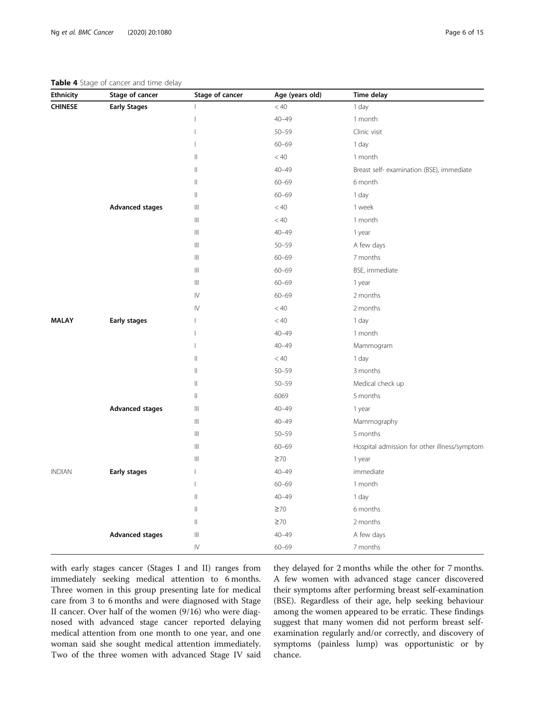#### <span id="page-5-0"></span>Table 4 Stage of cancer and time delay

| <b>Ethnicity</b> | Stage of cancer        | Stage of cancer                       | Age (years old) | Time delay                                   |
|------------------|------------------------|---------------------------------------|-----------------|----------------------------------------------|
| <b>CHINESE</b>   | <b>Early Stages</b>    |                                       | < 40            | 1 day                                        |
|                  |                        |                                       | $40 - 49$       | 1 month                                      |
|                  |                        |                                       | $50 - 59$       | Clinic visit                                 |
|                  |                        |                                       | $60 - 69$       | 1 day                                        |
|                  |                        | $\mathsf{II}$                         | < 40            | 1 month                                      |
|                  |                        | $\mathsf{II}$                         | $40 - 49$       | Breast self- examination (BSE), immediate    |
|                  |                        | Ш                                     | $60 - 69$       | 6 month                                      |
|                  |                        | 11                                    | $60 - 69$       | 1 day                                        |
|                  | <b>Advanced stages</b> | $\left\vert \right\vert \right\vert$  | < 40            | 1 week                                       |
|                  |                        | $\begin{array}{c} \hline \end{array}$ | < 40            | 1 month                                      |
|                  |                        | $\begin{array}{c} \hline \end{array}$ | $40 - 49$       | 1 year                                       |
|                  |                        | $\begin{array}{c} \hline \end{array}$ | $50 - 59$       | A few days                                   |
|                  |                        | $\begin{array}{c} \hline \end{array}$ | $60 - 69$       | 7 months                                     |
|                  |                        | $\begin{array}{c} \hline \end{array}$ | $60 - 69$       | BSE, immediate                               |
|                  |                        | $\begin{array}{c} \hline \end{array}$ | $60 - 69$       | 1 year                                       |
|                  |                        | $\mathsf{IV}$                         | $60 - 69$       | 2 months                                     |
|                  |                        | $\mathsf{IV}$                         | < 40            | 2 months                                     |
| <b>MALAY</b>     | <b>Early stages</b>    |                                       | < 40            | 1 day                                        |
|                  |                        |                                       | $40 - 49$       | 1 month                                      |
|                  |                        |                                       | $40 - 49$       | Mammogram                                    |
|                  |                        | $\begin{array}{c} \hline \end{array}$ | < 40            | 1 day                                        |
|                  |                        | $\begin{array}{c} \hline \end{array}$ | $50 - 59$       | 3 months                                     |
|                  |                        | $\mathsf{I}$                          | $50 - 59$       | Medical check up                             |
|                  |                        | $\begin{array}{c} \hline \end{array}$ | 6069            | 5 months                                     |
|                  | <b>Advanced stages</b> | $\left\vert \right\vert \right\vert$  | $40 - 49$       | 1 year                                       |
|                  |                        | $\left\vert \right\vert \right\vert$  | $40 - 49$       | Mammography                                  |
|                  |                        | $\vert\vert\vert$                     | $50 - 59$       | 5 months                                     |
|                  |                        | Ш                                     | $60 - 69$       | Hospital admission for other illness/symptom |
|                  |                        | Ш                                     | $\geq 70$       | 1 year                                       |
| <b>INDIAN</b>    | Early stages           |                                       | $40 - 49$       | immediate                                    |
|                  |                        |                                       | $60 - 69$       | 1 month                                      |
|                  |                        | $\begin{array}{c} \hline \end{array}$ | $40 - 49$       | 1 day                                        |
|                  |                        | $\parallel$                           | $\geq 70$       | 6 months                                     |
|                  |                        | Ш                                     | $\geq 70$       | 2 months                                     |
|                  | <b>Advanced stages</b> | $\left\vert \right\vert \right\vert$  | $40 - 49$       | A few days                                   |
|                  |                        | IV                                    | $60 - 69$       | 7 months                                     |

with early stages cancer (Stages I and II) ranges from immediately seeking medical attention to 6 months. Three women in this group presenting late for medical care from 3 to 6 months and were diagnosed with Stage II cancer. Over half of the women (9/16) who were diagnosed with advanced stage cancer reported delaying medical attention from one month to one year, and one woman said she sought medical attention immediately. Two of the three women with advanced Stage IV said

they delayed for 2 months while the other for 7 months. A few women with advanced stage cancer discovered their symptoms after performing breast self-examination (BSE). Regardless of their age, help seeking behaviour among the women appeared to be erratic. These findings suggest that many women did not perform breast selfexamination regularly and/or correctly, and discovery of symptoms (painless lump) was opportunistic or by chance.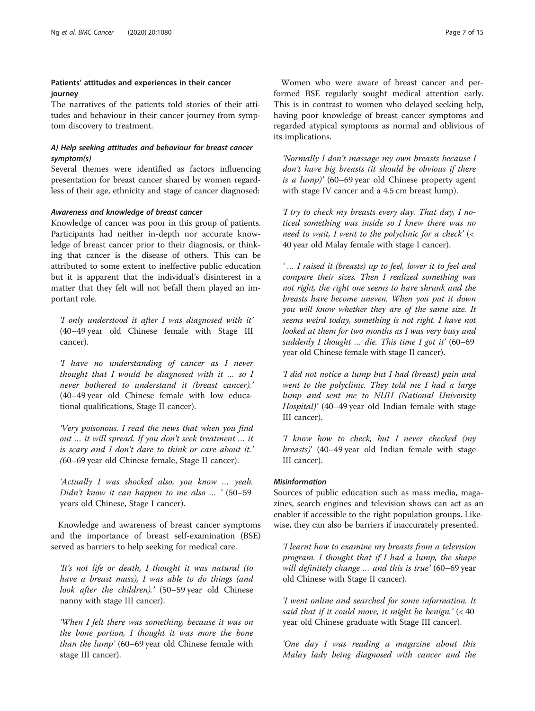#### Patients' attitudes and experiences in their cancer journey

The narratives of the patients told stories of their attitudes and behaviour in their cancer journey from symptom discovery to treatment.

#### A) Help seeking attitudes and behaviour for breast cancer symptom(s)

Several themes were identified as factors influencing presentation for breast cancer shared by women regardless of their age, ethnicity and stage of cancer diagnosed:

#### Awareness and knowledge of breast cancer

Knowledge of cancer was poor in this group of patients. Participants had neither in-depth nor accurate knowledge of breast cancer prior to their diagnosis, or thinking that cancer is the disease of others. This can be attributed to some extent to ineffective public education but it is apparent that the individual's disinterest in a matter that they felt will not befall them played an important role.

'I only understood it after I was diagnosed with it' (40–49 year old Chinese female with Stage III cancer).

'I have no understanding of cancer as I never thought that I would be diagnosed with it … so I never bothered to understand it (breast cancer).' (40–49 year old Chinese female with low educational qualifications, Stage II cancer).

'Very poisonous. I read the news that when you find out … it will spread. If you don't seek treatment … it is scary and I don't dare to think or care about it.' (60–69 year old Chinese female, Stage II cancer).

'Actually I was shocked also, you know … yeah. Didn't know it can happen to me also … ' (50–59 years old Chinese, Stage I cancer).

Knowledge and awareness of breast cancer symptoms and the importance of breast self-examination (BSE) served as barriers to help seeking for medical care.

'It's not life or death, I thought it was natural (to have a breast mass), I was able to do things (and look after the children).' (50-59 year old Chinese nanny with stage III cancer).

'When I felt there was something, because it was on the bone portion, I thought it was more the bone than the lump' (60–69 year old Chinese female with stage III cancer).

Women who were aware of breast cancer and performed BSE regularly sought medical attention early. This is in contrast to women who delayed seeking help, having poor knowledge of breast cancer symptoms and regarded atypical symptoms as normal and oblivious of its implications.

'Normally I don't massage my own breasts because I don't have big breasts (it should be obvious if there is a lump)' (60–69 year old Chinese property agent with stage IV cancer and a 4.5 cm breast lump).

'I try to check my breasts every day. That day, I noticed something was inside so I knew there was no need to wait, I went to the polyclinic for a check'  $\langle \cdot \rangle$ 40 year old Malay female with stage I cancer).

' … I raised it (breasts) up to feel, lower it to feel and compare their sizes. Then I realized something was not right, the right one seems to have shrunk and the breasts have become uneven. When you put it down you will know whether they are of the same size. It seems weird today, something is not right. I have not looked at them for two months as I was very busy and suddenly I thought … die. This time I got it' (60–69 year old Chinese female with stage II cancer).

'I did not notice a lump but I had (breast) pain and went to the polyclinic. They told me I had a large lump and sent me to NUH (National University Hospital)' (40–49 year old Indian female with stage III cancer).

'I know how to check, but I never checked (my breasts)' (40–49 year old Indian female with stage III cancer).

#### Misinformation

Sources of public education such as mass media, magazines, search engines and television shows can act as an enabler if accessible to the right population groups. Likewise, they can also be barriers if inaccurately presented.

'I learnt how to examine my breasts from a television program. I thought that if I had a lump, the shape will definitely change ... and this is true' (60–69 year old Chinese with Stage II cancer).

'I went online and searched for some information. It said that if it could move, it might be benign.'  $( $40$$ year old Chinese graduate with Stage III cancer).

'One day I was reading a magazine about this Malay lady being diagnosed with cancer and the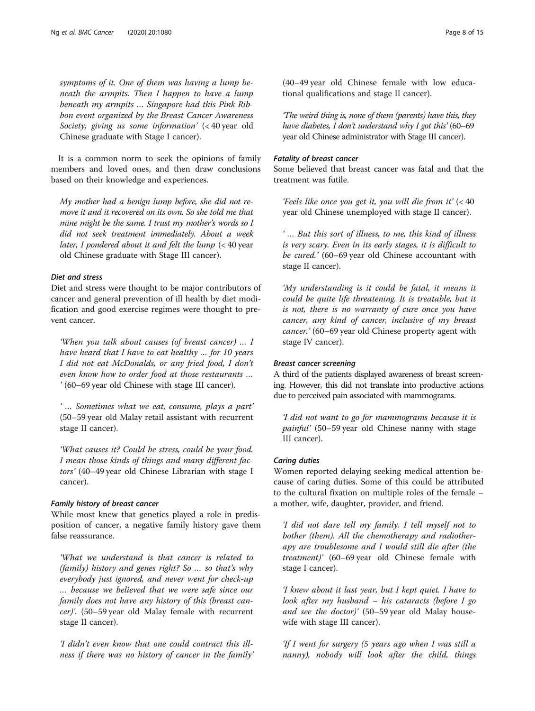symptoms of it. One of them was having a lump beneath the armpits. Then I happen to have a lump beneath my armpits … Singapore had this Pink Ribbon event organized by the Breast Cancer Awareness Society, giving us some information' (< 40 year old Chinese graduate with Stage I cancer).

It is a common norm to seek the opinions of family members and loved ones, and then draw conclusions based on their knowledge and experiences.

My mother had a benign lump before, she did not remove it and it recovered on its own. So she told me that mine might be the same. I trust my mother's words so I did not seek treatment immediately. About a week later, I pondered about it and felt the lump  $\left($  < 40 year old Chinese graduate with Stage III cancer).

#### Diet and stress

Diet and stress were thought to be major contributors of cancer and general prevention of ill health by diet modification and good exercise regimes were thought to prevent cancer.

'When you talk about causes (of breast cancer) … I have heard that I have to eat healthy … for 10 years I did not eat McDonalds, or any fried food, I don't even know how to order food at those restaurants … ' (60–69 year old Chinese with stage III cancer).

' … Sometimes what we eat, consume, plays a part' (50–59 year old Malay retail assistant with recurrent stage II cancer).

'What causes it? Could be stress, could be your food. I mean those kinds of things and many different factors' (40–49 year old Chinese Librarian with stage I cancer).

#### Family history of breast cancer

While most knew that genetics played a role in predisposition of cancer, a negative family history gave them false reassurance.

'What we understand is that cancer is related to (family) history and genes right? So … so that's why everybody just ignored, and never went for check-up … because we believed that we were safe since our family does not have any history of this (breast cancer)'. (50–59 year old Malay female with recurrent stage II cancer).

'I didn't even know that one could contract this illness if there was no history of cancer in the family' (40–49 year old Chinese female with low educational qualifications and stage II cancer).

'The weird thing is, none of them (parents) have this, they have diabetes, I don't understand why I got this' (60–69 year old Chinese administrator with Stage III cancer).

#### Fatality of breast cancer

Some believed that breast cancer was fatal and that the treatment was futile.

'Feels like once you get it, you will die from it'  $( $40$$ year old Chinese unemployed with stage II cancer).

' … But this sort of illness, to me, this kind of illness is very scary. Even in its early stages, it is difficult to be cured.' (60–69 year old Chinese accountant with stage II cancer).

'My understanding is it could be fatal, it means it could be quite life threatening. It is treatable, but it is not, there is no warranty of cure once you have cancer, any kind of cancer, inclusive of my breast cancer.' (60–69 year old Chinese property agent with stage IV cancer).

#### Breast cancer screening

A third of the patients displayed awareness of breast screening. However, this did not translate into productive actions due to perceived pain associated with mammograms.

'I did not want to go for mammograms because it is painful' (50–59 year old Chinese nanny with stage III cancer).

#### Caring duties

Women reported delaying seeking medical attention because of caring duties. Some of this could be attributed to the cultural fixation on multiple roles of the female – a mother, wife, daughter, provider, and friend.

'I did not dare tell my family. I tell myself not to bother (them). All the chemotherapy and radiotherapy are troublesome and I would still die after (the treatment)' (60–69 year old Chinese female with stage I cancer).

'I knew about it last year, but I kept quiet. I have to look after my husband – his cataracts (before I go and see the doctor)' (50–59 year old Malay housewife with stage III cancer).

'If I went for surgery (5 years ago when I was still a nanny), nobody will look after the child, things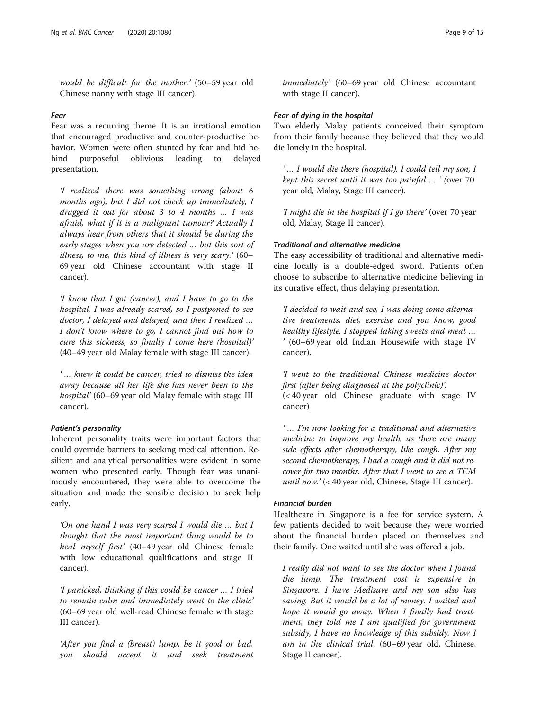would be difficult for the mother.' (50–59 year old Chinese nanny with stage III cancer).

#### Fear

Fear was a recurring theme. It is an irrational emotion that encouraged productive and counter-productive behavior. Women were often stunted by fear and hid behind purposeful oblivious leading to delayed presentation.

'I realized there was something wrong (about 6 months ago), but I did not check up immediately, I dragged it out for about  $3$  to  $4$  months ... I was afraid, what if it is a malignant tumour? Actually I always hear from others that it should be during the early stages when you are detected … but this sort of illness, to me, this kind of illness is very scary.' (60– 69 year old Chinese accountant with stage II cancer).

'I know that I got (cancer), and I have to go to the hospital. I was already scared, so I postponed to see doctor, I delayed and delayed, and then I realized … I don't know where to go, I cannot find out how to cure this sickness, so finally I come here (hospital)' (40–49 year old Malay female with stage III cancer).

' … knew it could be cancer, tried to dismiss the idea away because all her life she has never been to the hospital' (60–69 year old Malay female with stage III cancer).

#### Patient's personality

Inherent personality traits were important factors that could override barriers to seeking medical attention. Resilient and analytical personalities were evident in some women who presented early. Though fear was unanimously encountered, they were able to overcome the situation and made the sensible decision to seek help early.

'On one hand I was very scared I would die … but I thought that the most important thing would be to heal myself first' (40–49 year old Chinese female with low educational qualifications and stage II cancer).

'I panicked, thinking if this could be cancer … I tried to remain calm and immediately went to the clinic' (60–69 year old well-read Chinese female with stage III cancer).

'After you find a (breast) lump, be it good or bad, you should accept it and seek treatment immediately' (60–69 year old Chinese accountant with stage II cancer).

#### Fear of dying in the hospital

Two elderly Malay patients conceived their symptom from their family because they believed that they would die lonely in the hospital.

' … I would die there (hospital). I could tell my son, I kept this secret until it was too painful … ' (over 70 year old, Malay, Stage III cancer).

'I might die in the hospital if I go there' (over 70 year old, Malay, Stage II cancer).

#### Traditional and alternative medicine

The easy accessibility of traditional and alternative medicine locally is a double-edged sword. Patients often choose to subscribe to alternative medicine believing in its curative effect, thus delaying presentation.

'I decided to wait and see, I was doing some alternative treatments, diet, exercise and you know, good healthy lifestyle. I stopped taking sweets and meat … ' (60–69 year old Indian Housewife with stage IV cancer).

'I went to the traditional Chinese medicine doctor first (after being diagnosed at the polyclinic)'. (< 40 year old Chinese graduate with stage IV cancer)

' … I'm now looking for a traditional and alternative medicine to improve my health, as there are many side effects after chemotherapy, like cough. After my second chemotherapy, I had a cough and it did not recover for two months. After that I went to see a TCM until now.' (< 40 year old, Chinese, Stage III cancer).

#### Financial burden

Healthcare in Singapore is a fee for service system. A few patients decided to wait because they were worried about the financial burden placed on themselves and their family. One waited until she was offered a job.

I really did not want to see the doctor when I found the lump. The treatment cost is expensive in Singapore. I have Medisave and my son also has saving. But it would be a lot of money. I waited and hope it would go away. When I finally had treatment, they told me I am qualified for government subsidy, I have no knowledge of this subsidy. Now I am in the clinical trial. (60–69 year old, Chinese, Stage II cancer).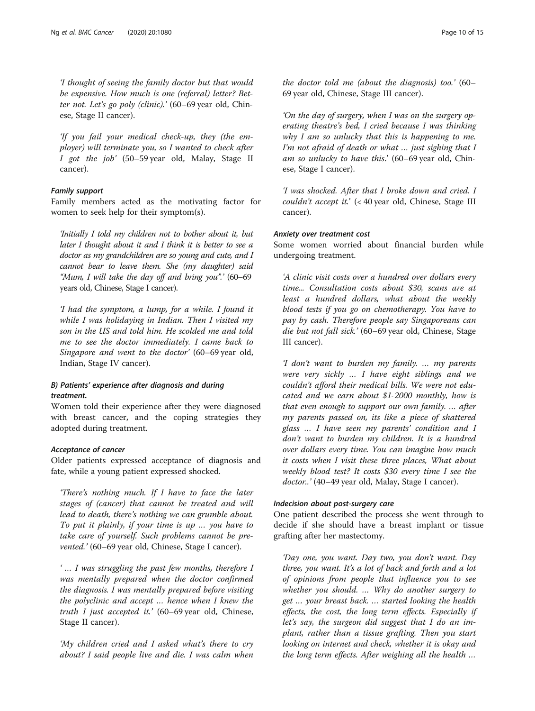'I thought of seeing the family doctor but that would be expensive. How much is one (referral) letter? Better not. Let's go poly (clinic).' (60–69 year old, Chinese, Stage II cancer).

'If you fail your medical check-up, they (the employer) will terminate you, so I wanted to check after I got the job' (50–59 year old, Malay, Stage II cancer).

#### Family support

Family members acted as the motivating factor for women to seek help for their symptom(s).

'Initially I told my children not to bother about it, but later I thought about it and I think it is better to see a doctor as my grandchildren are so young and cute, and I cannot bear to leave them. She (my daughter) said "Mum, I will take the day off and bring you".' (60–69 years old, Chinese, Stage I cancer).

'I had the symptom, a lump, for a while. I found it while I was holidaying in Indian. Then I visited my son in the US and told him. He scolded me and told me to see the doctor immediately. I came back to Singapore and went to the doctor' (60–69 year old, Indian, Stage IV cancer).

#### B) Patients' experience after diagnosis and during treatment.

Women told their experience after they were diagnosed with breast cancer, and the coping strategies they adopted during treatment.

#### Acceptance of cancer

Older patients expressed acceptance of diagnosis and fate, while a young patient expressed shocked.

'There's nothing much. If I have to face the later stages of (cancer) that cannot be treated and will lead to death, there's nothing we can grumble about. To put it plainly, if your time is up … you have to take care of yourself. Such problems cannot be prevented.' (60–69 year old, Chinese, Stage I cancer).

' … I was struggling the past few months, therefore I was mentally prepared when the doctor confirmed the diagnosis. I was mentally prepared before visiting the polyclinic and accept … hence when I knew the truth I just accepted it.' (60–69 year old, Chinese, Stage II cancer).

'My children cried and I asked what's there to cry about? I said people live and die. I was calm when

the doctor told me (about the diagnosis) too.' (60– 69 year old, Chinese, Stage III cancer).

'On the day of surgery, when I was on the surgery operating theatre's bed, I cried because I was thinking why I am so unlucky that this is happening to me. I'm not afraid of death or what … just sighing that I am so unlucky to have this.' (60–69 year old, Chinese, Stage I cancer).

'I was shocked. After that I broke down and cried. I couldn't accept it.' (< 40 year old, Chinese, Stage III cancer).

#### Anxiety over treatment cost

Some women worried about financial burden while undergoing treatment.

'A clinic visit costs over a hundred over dollars every time... Consultation costs about \$30, scans are at least a hundred dollars, what about the weekly blood tests if you go on chemotherapy. You have to pay by cash. Therefore people say Singaporeans can die but not fall sick.' (60–69 year old, Chinese, Stage III cancer).

'I don't want to burden my family. … my parents were very sickly … I have eight siblings and we couldn't afford their medical bills. We were not educated and we earn about \$1-2000 monthly, how is that even enough to support our own family. … after my parents passed on, its like a piece of shattered glass … I have seen my parents' condition and I don't want to burden my children. It is a hundred over dollars every time. You can imagine how much it costs when I visit these three places, What about weekly blood test? It costs \$30 every time I see the doctor..' (40–49 year old, Malay, Stage I cancer).

#### Indecision about post-surgery care

One patient described the process she went through to decide if she should have a breast implant or tissue grafting after her mastectomy.

'Day one, you want. Day two, you don't want. Day three, you want. It's a lot of back and forth and a lot of opinions from people that influence you to see whether you should. … Why do another surgery to get … your breast back. … started looking the health effects, the cost, the long term effects. Especially if let's say, the surgeon did suggest that I do an implant, rather than a tissue grafting. Then you start looking on internet and check, whether it is okay and the long term effects. After weighing all the health …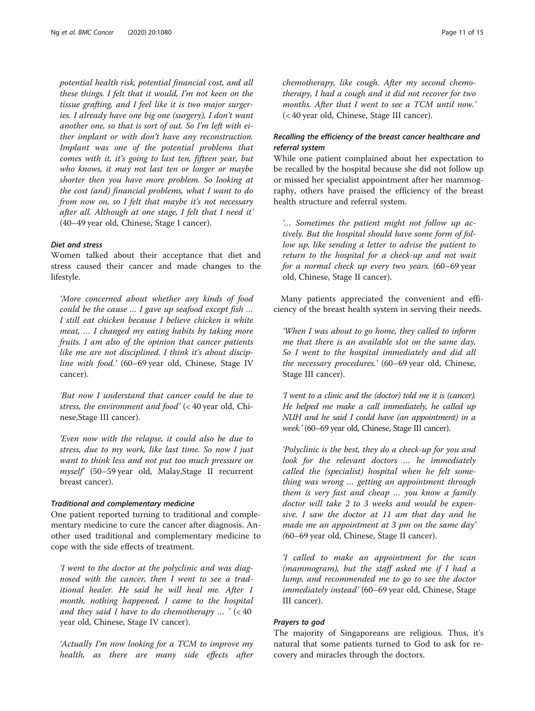potential health risk, potential financial cost, and all these things. I felt that it would, I'm not keen on the tissue grafting, and I feel like it is two major surgeries. I already have one big one (surgery), I don't want another one, so that is sort of out. So I'm left with either implant or with don't have any reconstruction. Implant was one of the potential problems that comes with it, it's going to last ten, fifteen year, but who knows, it may not last ten or longer or maybe shorter then you have more problem. So looking at the cost (and) financial problems, what I want to do from now on, so I felt that maybe it's not necessary after all. Although at one stage, I felt that I need it' (40–49 year old, Chinese, Stage I cancer).

#### Diet and stress

Women talked about their acceptance that diet and stress caused their cancer and made changes to the lifestyle.

'More concerned about whether any kinds of food could be the cause … I gave up seafood except fish … I still eat chicken because I believe chicken is white meat, … I changed my eating habits by taking more fruits. I am also of the opinion that cancer patients like me are not disciplined. I think it's about discipline with food.' (60–69 year old, Chinese, Stage IV cancer).

'But now I understand that cancer could be due to stress, the environment and food' (< 40 year old, Chinese,Stage III cancer).

'Even now with the relapse, it could also be due to stress, due to my work, like last time. So now I just want to think less and not put too much pressure on myself' (50–59 year old, Malay,Stage II recurrent breast cancer).

#### Traditional and complementary medicine

One patient reported turning to traditional and complementary medicine to cure the cancer after diagnosis. Another used traditional and complementary medicine to cope with the side effects of treatment.

'I went to the doctor at the polyclinic and was diagnosed with the cancer, then I went to see a traditional healer. He said he will heal me. After 1 month, nothing happened, I came to the hospital and they said I have to do chemotherapy  $\ldots$  ' (<40 year old, Chinese, Stage IV cancer).

'Actually I'm now looking for a TCM to improve my health, as there are many side effects after

chemotherapy, like cough. After my second chemotherapy, I had a cough and it did not recover for two months. After that I went to see a TCM until now.' (< 40 year old, Chinese, Stage III cancer).

#### Recalling the efficiency of the breast cancer healthcare and referral system

While one patient complained about her expectation to be recalled by the hospital because she did not follow up or missed her specialist appointment after her mammography, others have praised the efficiency of the breast health structure and referral system.

'… Sometimes the patient might not follow up actively. But the hospital should have some form of follow up, like sending a letter to advise the patient to return to the hospital for a check-up and not wait for a normal check up every two years. (60–69 year old, Chinese, Stage II cancer).

Many patients appreciated the convenient and efficiency of the breast health system in serving their needs.

'When I was about to go home, they called to inform me that there is an available slot on the same day, So I went to the hospital immediately and did all the necessary procedures.' (60–69 year old, Chinese, Stage III cancer).

'I went to a clinic and the (doctor) told me it is (cancer). He helped me make a call immediately, he called up NUH and he said I could have (an appointment) in a week.' (60–69 year old, Chinese, Stage III cancer).

'Polyclinic is the best, they do a check-up for you and look for the relevant doctors … he immediately called the (specialist) hospital when he felt something was wrong … getting an appointment through them is very fast and cheap … you know a family doctor will take 2 to 3 weeks and would be expensive. I saw the doctor at 11 am that day and he made me an appointment at 3 pm on the same day' (60–69 year old, Chinese, Stage II cancer).

'I called to make an appointment for the scan (mammogram), but the staff asked me if I had a lump, and recommended me to go to see the doctor immediately instead' (60–69 year old, Chinese, Stage III cancer).

#### Prayers to god

The majority of Singaporeans are religious. Thus, it's natural that some patients turned to God to ask for recovery and miracles through the doctors.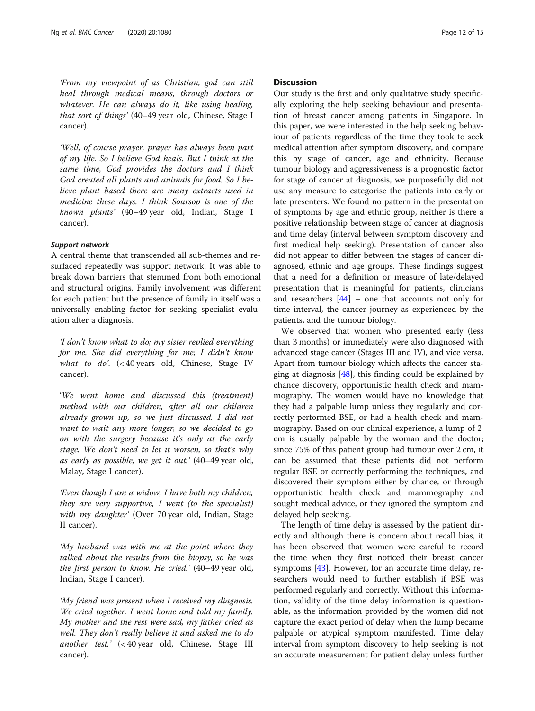'From my viewpoint of as Christian, god can still heal through medical means, through doctors or whatever. He can always do it, like using healing, that sort of things' (40–49 year old, Chinese, Stage I cancer).

'Well, of course prayer, prayer has always been part of my life. So I believe God heals. But I think at the same time, God provides the doctors and I think God created all plants and animals for food. So I believe plant based there are many extracts used in medicine these days. I think Soursop is one of the known plants' (40–49 year old, Indian, Stage I cancer).

#### Support network

A central theme that transcended all sub-themes and resurfaced repeatedly was support network. It was able to break down barriers that stemmed from both emotional and structural origins. Family involvement was different for each patient but the presence of family in itself was a universally enabling factor for seeking specialist evaluation after a diagnosis.

'I don't know what to do; my sister replied everything for me. She did everything for me; I didn't know what to do'. (<40 years old, Chinese, Stage IV cancer).

'We went home and discussed this (treatment) method with our children, after all our children already grown up, so we just discussed. I did not want to wait any more longer, so we decided to go on with the surgery because it's only at the early stage. We don't need to let it worsen, so that's why as early as possible, we get it out.' (40–49 year old, Malay, Stage I cancer).

'Even though I am a widow, I have both my children, they are very supportive, I went (to the specialist) with my daughter' (Over 70 year old, Indian, Stage II cancer).

'My husband was with me at the point where they talked about the results from the biopsy, so he was the first person to know. He cried.' (40–49 year old, Indian, Stage I cancer).

'My friend was present when I received my diagnosis. We cried together. I went home and told my family. My mother and the rest were sad, my father cried as well. They don't really believe it and asked me to do another test.' (< 40 year old, Chinese, Stage III cancer).

#### **Discussion**

Our study is the first and only qualitative study specifically exploring the help seeking behaviour and presentation of breast cancer among patients in Singapore. In this paper, we were interested in the help seeking behaviour of patients regardless of the time they took to seek medical attention after symptom discovery, and compare this by stage of cancer, age and ethnicity. Because tumour biology and aggressiveness is a prognostic factor for stage of cancer at diagnosis, we purposefully did not use any measure to categorise the patients into early or late presenters. We found no pattern in the presentation of symptoms by age and ethnic group, neither is there a positive relationship between stage of cancer at diagnosis and time delay (interval between symptom discovery and first medical help seeking). Presentation of cancer also did not appear to differ between the stages of cancer diagnosed, ethnic and age groups. These findings suggest that a need for a definition or measure of late/delayed presentation that is meaningful for patients, clinicians and researchers [[44\]](#page-14-0) – one that accounts not only for time interval, the cancer journey as experienced by the patients, and the tumour biology.

We observed that women who presented early (less than 3 months) or immediately were also diagnosed with advanced stage cancer (Stages III and IV), and vice versa. Apart from tumour biology which affects the cancer staging at diagnosis  $[48]$  $[48]$ , this finding could be explained by chance discovery, opportunistic health check and mammography. The women would have no knowledge that they had a palpable lump unless they regularly and correctly performed BSE, or had a health check and mammography. Based on our clinical experience, a lump of 2 cm is usually palpable by the woman and the doctor; since 75% of this patient group had tumour over 2 cm, it can be assumed that these patients did not perform regular BSE or correctly performing the techniques, and discovered their symptom either by chance, or through opportunistic health check and mammography and sought medical advice, or they ignored the symptom and delayed help seeking.

The length of time delay is assessed by the patient directly and although there is concern about recall bias, it has been observed that women were careful to record the time when they first noticed their breast cancer symptoms [\[43\]](#page-14-0). However, for an accurate time delay, researchers would need to further establish if BSE was performed regularly and correctly. Without this information, validity of the time delay information is questionable, as the information provided by the women did not capture the exact period of delay when the lump became palpable or atypical symptom manifested. Time delay interval from symptom discovery to help seeking is not an accurate measurement for patient delay unless further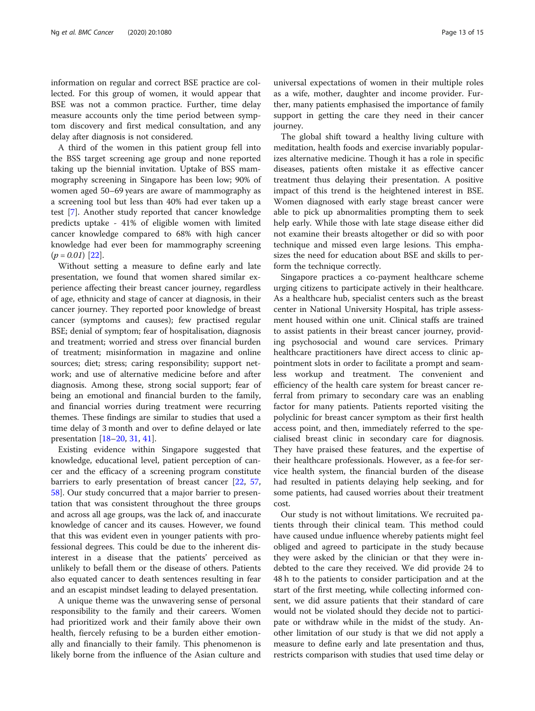information on regular and correct BSE practice are collected. For this group of women, it would appear that BSE was not a common practice. Further, time delay measure accounts only the time period between symptom discovery and first medical consultation, and any delay after diagnosis is not considered.

A third of the women in this patient group fell into the BSS target screening age group and none reported taking up the biennial invitation. Uptake of BSS mammography screening in Singapore has been low; 90% of women aged 50–69 years are aware of mammography as a screening tool but less than 40% had ever taken up a test [[7](#page-13-0)]. Another study reported that cancer knowledge predicts uptake - 41% of eligible women with limited cancer knowledge compared to 68% with high cancer knowledge had ever been for mammography screening  $(p = 0.01)$  [[22\]](#page-14-0).

Without setting a measure to define early and late presentation, we found that women shared similar experience affecting their breast cancer journey, regardless of age, ethnicity and stage of cancer at diagnosis, in their cancer journey. They reported poor knowledge of breast cancer (symptoms and causes); few practised regular BSE; denial of symptom; fear of hospitalisation, diagnosis and treatment; worried and stress over financial burden of treatment; misinformation in magazine and online sources; diet; stress; caring responsibility; support network; and use of alternative medicine before and after diagnosis. Among these, strong social support; fear of being an emotional and financial burden to the family, and financial worries during treatment were recurring themes. These findings are similar to studies that used a time delay of 3 month and over to define delayed or late presentation [\[18](#page-14-0)–[20](#page-14-0), [31,](#page-14-0) [41\]](#page-14-0).

Existing evidence within Singapore suggested that knowledge, educational level, patient perception of cancer and the efficacy of a screening program constitute barriers to early presentation of breast cancer [[22,](#page-14-0) [57](#page-14-0), [58\]](#page-14-0). Our study concurred that a major barrier to presentation that was consistent throughout the three groups and across all age groups, was the lack of, and inaccurate knowledge of cancer and its causes. However, we found that this was evident even in younger patients with professional degrees. This could be due to the inherent disinterest in a disease that the patients' perceived as unlikely to befall them or the disease of others. Patients also equated cancer to death sentences resulting in fear and an escapist mindset leading to delayed presentation.

A unique theme was the unwavering sense of personal responsibility to the family and their careers. Women had prioritized work and their family above their own health, fiercely refusing to be a burden either emotionally and financially to their family. This phenomenon is likely borne from the influence of the Asian culture and

universal expectations of women in their multiple roles as a wife, mother, daughter and income provider. Further, many patients emphasised the importance of family support in getting the care they need in their cancer journey.

The global shift toward a healthy living culture with meditation, health foods and exercise invariably popularizes alternative medicine. Though it has a role in specific diseases, patients often mistake it as effective cancer treatment thus delaying their presentation. A positive impact of this trend is the heightened interest in BSE. Women diagnosed with early stage breast cancer were able to pick up abnormalities prompting them to seek help early. While those with late stage disease either did not examine their breasts altogether or did so with poor technique and missed even large lesions. This emphasizes the need for education about BSE and skills to perform the technique correctly.

Singapore practices a co-payment healthcare scheme urging citizens to participate actively in their healthcare. As a healthcare hub, specialist centers such as the breast center in National University Hospital, has triple assessment housed within one unit. Clinical staffs are trained to assist patients in their breast cancer journey, providing psychosocial and wound care services. Primary healthcare practitioners have direct access to clinic appointment slots in order to facilitate a prompt and seamless workup and treatment. The convenient and efficiency of the health care system for breast cancer referral from primary to secondary care was an enabling factor for many patients. Patients reported visiting the polyclinic for breast cancer symptom as their first health access point, and then, immediately referred to the specialised breast clinic in secondary care for diagnosis. They have praised these features, and the expertise of their healthcare professionals. However, as a fee-for service health system, the financial burden of the disease had resulted in patients delaying help seeking, and for some patients, had caused worries about their treatment cost.

Our study is not without limitations. We recruited patients through their clinical team. This method could have caused undue influence whereby patients might feel obliged and agreed to participate in the study because they were asked by the clinician or that they were indebted to the care they received. We did provide 24 to 48 h to the patients to consider participation and at the start of the first meeting, while collecting informed consent, we did assure patients that their standard of care would not be violated should they decide not to participate or withdraw while in the midst of the study. Another limitation of our study is that we did not apply a measure to define early and late presentation and thus, restricts comparison with studies that used time delay or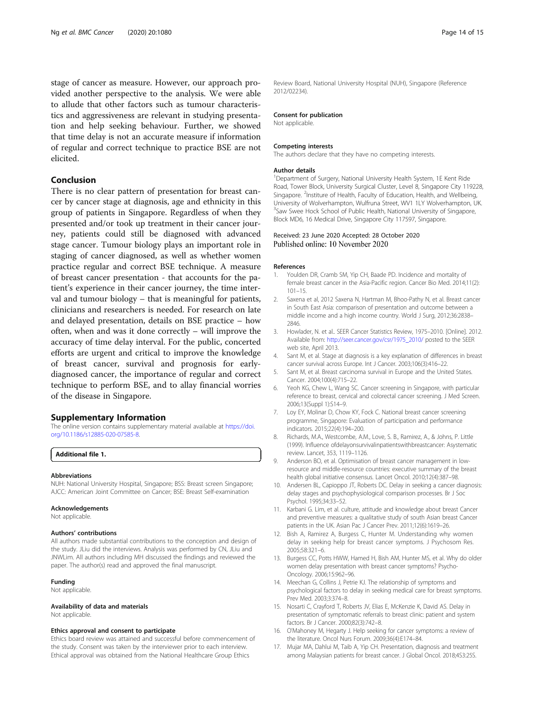<span id="page-13-0"></span>stage of cancer as measure. However, our approach provided another perspective to the analysis. We were able to allude that other factors such as tumour characteristics and aggressiveness are relevant in studying presentation and help seeking behaviour. Further, we showed that time delay is not an accurate measure if information of regular and correct technique to practice BSE are not elicited.

#### Conclusion

There is no clear pattern of presentation for breast cancer by cancer stage at diagnosis, age and ethnicity in this group of patients in Singapore. Regardless of when they presented and/or took up treatment in their cancer journey, patients could still be diagnosed with advanced stage cancer. Tumour biology plays an important role in staging of cancer diagnosed, as well as whether women practice regular and correct BSE technique. A measure of breast cancer presentation - that accounts for the patient's experience in their cancer journey, the time interval and tumour biology – that is meaningful for patients, clinicians and researchers is needed. For research on late and delayed presentation, details on BSE practice – how often, when and was it done correctly – will improve the accuracy of time delay interval. For the public, concerted efforts are urgent and critical to improve the knowledge of breast cancer, survival and prognosis for earlydiagnosed cancer, the importance of regular and correct technique to perform BSE, and to allay financial worries of the disease in Singapore.

#### Supplementary Information

The online version contains supplementary material available at [https://doi.](https://doi.org/10.1186/s12885-020-07585-8) [org/10.1186/s12885-020-07585-8.](https://doi.org/10.1186/s12885-020-07585-8)

Additional file 1.

#### Abbreviations

NUH: National University Hospital, Singapore; BSS: Breast screen Singapore; AJCC: American Joint Committee on Cancer; BSE: Breast Self-examination

#### Acknowledgements

Not applicable.

#### Authors' contributions

All authors made substantial contributions to the conception and design of the study. JLiu did the interviews. Analysis was performed by CN, JLiu and JNWLim. All authors including MH discussed the findings and reviewed the paper. The author(s) read and approved the final manuscript.

#### Funding

Not applicable.

#### Availability of data and materials

Not applicable.

#### Ethics approval and consent to participate

Ethics board review was attained and successful before commencement of the study. Consent was taken by the interviewer prior to each interview. Ethical approval was obtained from the National Healthcare Group Ethics

#### Consent for publication

Not applicable.

#### Competing interests

The authors declare that they have no competing interests.

#### Author details

<sup>1</sup>Department of Surgery, National University Health System, 1E Kent Ride Road, Tower Block, University Surgical Cluster, Level 8, Singapore City 119228, Singapore. <sup>2</sup>Institure of Health, Faculty of Education, Health, and Wellbeing, University of Wolverhampton, Wulfruna Street, WV1 1LY Wolverhampton, UK. <sup>3</sup>Saw Swee Hock School of Public Health, National University of Singapore Block MD6, 16 Medical Drive, Singapore City 117597, Singapore.

# Received: 23 June 2020 Accepted: 28 October 2020

#### References

- 1. Youlden DR, Cramb SM, Yip CH, Baade PD. Incidence and mortality of female breast cancer in the Asia-Pacific region. Cancer Bio Med. 2014;11(2): 101–15.
- 2. Saxena et al, 2012 Saxena N, Hartman M, Bhoo-Pathy N, et al. Breast cancer in South East Asia: comparison of presentation and outcome between a middle income and a high income country. World J Surg, 2012;36:2838– 2846.
- 3. Howlader, N. et al.. SEER Cancer Statistics Review, 1975–2010. [Online]. 2012. Available from: [http://seer.cancer.gov/csr/1975\\_2010/](http://seer.cancer.gov/csr/1975_2010/) posted to the SEER web site, April 2013.
- 4. Sant M, et al. Stage at diagnosis is a key explanation of differences in breast cancer survival across Europe. Int J Cancer. 2003;106(3):416–22.
- 5. Sant M, et al. Breast carcinoma survival in Europe and the United States. Cancer. 2004;100(4):715–22.
- 6. Yeoh KG, Chew L, Wang SC. Cancer screening in Singapore, with particular reference to breast, cervical and colorectal cancer screening. J Med Screen. 2006;13(Suppl 1):S14–9.
- 7. Loy EY, Molinar D, Chow KY, Fock C. National breast cancer screening programme, Singapore: Evaluation of participation and performance indicators. 2015;22(4):194–200.
- 8. Richards, M.A., Westcombe, A.M., Love, S. B., Ramirez, A., & Johns, P. Little (1999). Influence ofdelayonsurvivalinpatientswithbreastcancer: Asystematic review. Lancet, 353, 1119–1126.
- 9. Anderson BO, et al. Optimisation of breast cancer management in lowresource and middle-resource countries: executive summary of the breast health global initiative consensus. Lancet Oncol. 2010;12(4):387–98.
- 10. Andersen BL, Capioppo JT, Roberts DC. Delay in seeking a cancer diagnosis: delay stages and psychophysiological comparison processes. Br J Soc Psychol. 1995;34:33–52.
- 11. Karbani G. Lim, et al. culture, attitude and knowledge about breast Cancer and preventive measures: a qualitative study of south Asian breast Cancer patients in the UK. Asian Pac J Cancer Prev. 2011;12(6):1619–26.
- 12. Bish A, Ramirez A, Burgess C, Hunter M. Understanding why women delay in seeking help for breast cancer symptoms. J Psychosom Res. 2005;58:321–6.
- 13. Burgess CC, Potts HWW, Hamed H, Bish AM, Hunter MS, et al. Why do older women delay presentation with breast cancer symptoms? Psycho-Oncology. 2006;15:962–96.
- 14. Meechan G, Collins J, Petrie KJ. The relationship of symptoms and psychological factors to delay in seeking medical care for breast symptoms. Prev Med. 2003;3:374–8.
- 15. Nosarti C, Crayford T, Roberts JV, Elias E, McKenzie K, David AS. Delay in presentation of symptomatic referrals to breast clinic: patient and system factors. Br J Cancer. 2000;82(3):742–8.
- 16. O'Mahoney M, Hegarty J. Help seeking for cancer symptoms: a review of the literature. Oncol Nurs Forum. 2009;36(4):E174–84.
- 17. Mujar MA, Dahlui M, Taib A, Yip CH. Presentation, diagnosis and treatment among Malaysian patients for breast cancer. J Global Oncol. 2018;4S3:25S.